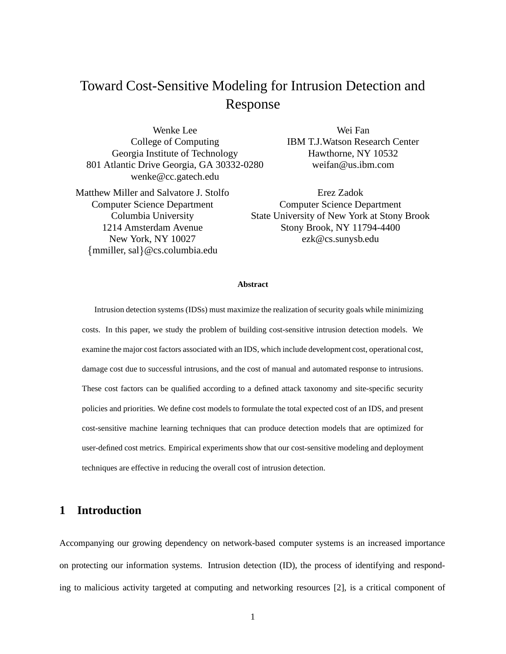# Toward Cost-Sensitive Modeling for Intrusion Detection and Response

Wenke Lee College of Computing Georgia Institute of Technology 801 Atlantic Drive Georgia, GA 30332-0280 wenke@cc.gatech.edu

Wei Fan IBM T.J.Watson Research Center Hawthorne, NY 10532 weifan@us.ibm.com

Matthew Miller and Salvatore J. Stolfo Computer Science Department Columbia University 1214 Amsterdam Avenue New York, NY 10027 {mmiller, sal} @cs.columbia.edu

Erez Zadok Computer Science Department State University of New York at Stony Brook Stony Brook, NY 11794-4400 ezk@cs.sunysb.edu

#### **Abstract**

Intrusion detection systems (IDSs) must maximize the realization of security goals while minimizing costs. In this paper, we study the problem of building cost-sensitive intrusion detection models. We examine the major cost factors associated with an IDS, which include development cost, operational cost, damage cost due to successful intrusions, and the cost of manual and automated response to intrusions. These cost factors can be qualified according to a defined attack taxonomy and site-specific security policies and priorities. We define cost models to formulate the total expected cost of an IDS, and present cost-sensitive machine learning techniques that can produce detection models that are optimized for user-defined cost metrics. Empirical experiments show that our cost-sensitive modeling and deployment techniques are effective in reducing the overall cost of intrusion detection.

# **1 Introduction**

Accompanying our growing dependency on network-based computer systems is an increased importance on protecting our information systems. Intrusion detection (ID), the process of identifying and responding to malicious activity targeted at computing and networking resources [2], is a critical component of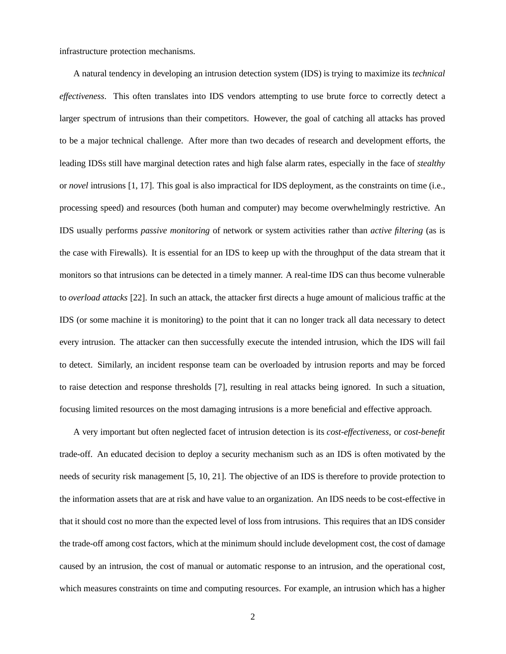infrastructure protection mechanisms.

A natural tendency in developing an intrusion detection system (IDS) is trying to maximize its *technical effectiveness*. This often translates into IDS vendors attempting to use brute force to correctly detect a larger spectrum of intrusions than their competitors. However, the goal of catching all attacks has proved to be a major technical challenge. After more than two decades of research and development efforts, the leading IDSs still have marginal detection rates and high false alarm rates, especially in the face of *stealthy* or *novel* intrusions [1, 17]. This goal is also impractical for IDS deployment, as the constraints on time (i.e., processing speed) and resources (both human and computer) may become overwhelmingly restrictive. An IDS usually performs *passive monitoring* of network or system activities rather than *active filtering* (as is the case with Firewalls). It is essential for an IDS to keep up with the throughput of the data stream that it monitors so that intrusions can be detected in a timely manner. A real-time IDS can thus become vulnerable to *overload attacks* [22]. In such an attack, the attacker first directs a huge amount of malicious traffic at the IDS (or some machine it is monitoring) to the point that it can no longer track all data necessary to detect every intrusion. The attacker can then successfully execute the intended intrusion, which the IDS will fail to detect. Similarly, an incident response team can be overloaded by intrusion reports and may be forced to raise detection and response thresholds [7], resulting in real attacks being ignored. In such a situation, focusing limited resources on the most damaging intrusions is a more beneficial and effective approach.

A very important but often neglected facet of intrusion detection is its *cost-effectiveness*, or *cost-benefit* trade-off. An educated decision to deploy a security mechanism such as an IDS is often motivated by the needs of security risk management [5, 10, 21]. The objective of an IDS is therefore to provide protection to the information assets that are at risk and have value to an organization. An IDS needs to be cost-effective in that it should cost no more than the expected level of loss from intrusions. This requires that an IDS consider the trade-off among cost factors, which at the minimum should include development cost, the cost of damage caused by an intrusion, the cost of manual or automatic response to an intrusion, and the operational cost, which measures constraints on time and computing resources. For example, an intrusion which has a higher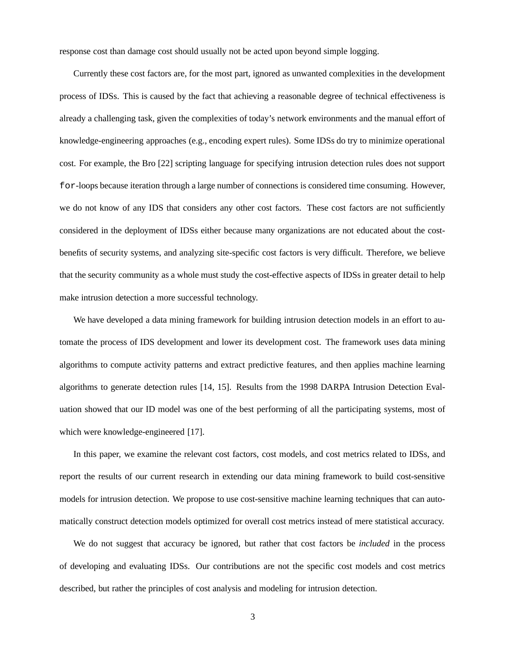response cost than damage cost should usually not be acted upon beyond simple logging.

Currently these cost factors are, for the most part, ignored as unwanted complexities in the development process of IDSs. This is caused by the fact that achieving a reasonable degree of technical effectiveness is already a challenging task, given the complexities of today's network environments and the manual effort of knowledge-engineering approaches (e.g., encoding expert rules). Some IDSs do try to minimize operational cost. For example, the Bro [22] scripting language for specifying intrusion detection rules does not support for-loops because iteration through a large number of connections is considered time consuming. However, we do not know of any IDS that considers any other cost factors. These cost factors are not sufficiently considered in the deployment of IDSs either because many organizations are not educated about the costbenefits of security systems, and analyzing site-specific cost factors is very difficult. Therefore, we believe that the security community as a whole must study the cost-effective aspects of IDSs in greater detail to help make intrusion detection a more successful technology.

We have developed a data mining framework for building intrusion detection models in an effort to automate the process of IDS development and lower its development cost. The framework uses data mining algorithms to compute activity patterns and extract predictive features, and then applies machine learning algorithms to generate detection rules [14, 15]. Results from the 1998 DARPA Intrusion Detection Evaluation showed that our ID model was one of the best performing of all the participating systems, most of which were knowledge-engineered [17].

In this paper, we examine the relevant cost factors, cost models, and cost metrics related to IDSs, and report the results of our current research in extending our data mining framework to build cost-sensitive models for intrusion detection. We propose to use cost-sensitive machine learning techniques that can automatically construct detection models optimized for overall cost metrics instead of mere statistical accuracy.

We do not suggest that accuracy be ignored, but rather that cost factors be *included* in the process of developing and evaluating IDSs. Our contributions are not the specific cost models and cost metrics described, but rather the principles of cost analysis and modeling for intrusion detection.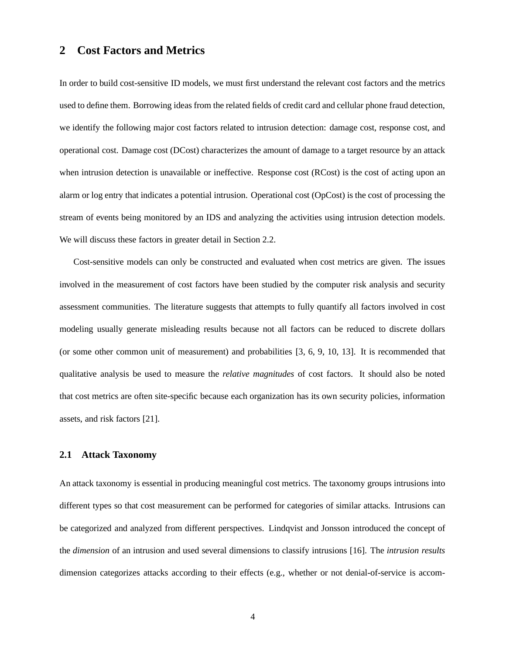## **2 Cost Factors and Metrics**

In order to build cost-sensitive ID models, we must first understand the relevant cost factors and the metrics used to define them. Borrowing ideas from the related fields of credit card and cellular phone fraud detection, we identify the following major cost factors related to intrusion detection: damage cost, response cost, and operational cost. Damage cost (DCost) characterizes the amount of damage to a target resource by an attack when intrusion detection is unavailable or ineffective. Response cost (RCost) is the cost of acting upon an alarm or log entry that indicates a potential intrusion. Operational cost (OpCost) is the cost of processing the stream of events being monitored by an IDS and analyzing the activities using intrusion detection models. We will discuss these factors in greater detail in Section 2.2.

Cost-sensitive models can only be constructed and evaluated when cost metrics are given. The issues involved in the measurement of cost factors have been studied by the computer risk analysis and security assessment communities. The literature suggests that attempts to fully quantify all factors involved in cost modeling usually generate misleading results because not all factors can be reduced to discrete dollars (or some other common unit of measurement) and probabilities [3, 6, 9, 10, 13]. It is recommended that qualitative analysis be used to measure the *relative magnitudes* of cost factors. It should also be noted that cost metrics are often site-specific because each organization has its own security policies, information assets, and risk factors [21].

#### **2.1 Attack Taxonomy**

An attack taxonomy is essential in producing meaningful cost metrics. The taxonomy groups intrusions into different types so that cost measurement can be performed for categories of similar attacks. Intrusions can be categorized and analyzed from different perspectives. Lindqvist and Jonsson introduced the concept of the *dimension* of an intrusion and used several dimensions to classify intrusions [16]. The *intrusion results* dimension categorizes attacks according to their effects (e.g., whether or not denial-of-service is accom-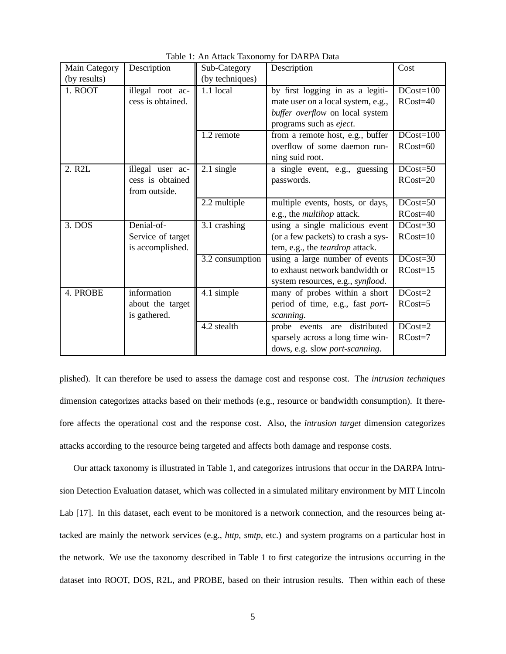| Main Category | Description       | Sub-Category    | Description                        | Cost         |
|---------------|-------------------|-----------------|------------------------------------|--------------|
| (by results)  |                   | (by techniques) |                                    |              |
| 1. ROOT       | illegal root ac-  | 1.1 local       | by first logging in as a legiti-   | $DCost=100$  |
|               | cess is obtained. |                 | mate user on a local system, e.g., | $RCost=40$   |
|               |                   |                 | buffer overflow on local system    |              |
|               |                   |                 | programs such as eject.            |              |
|               |                   | 1.2 remote      | from a remote host, e.g., buffer   | $DCost=100$  |
|               |                   |                 | overflow of some daemon run-       | $RCost=60$   |
|               |                   |                 | ning suid root.                    |              |
| 2. R2L        | illegal user ac-  | 2.1 single      | a single event, e.g., guessing     | $DCost = 50$ |
|               | cess is obtained  |                 | passwords.                         | $RCost=20$   |
|               | from outside.     |                 |                                    |              |
|               |                   | 2.2 multiple    | multiple events, hosts, or days,   | $DCost = 50$ |
|               |                   |                 | e.g., the multihop attack.         | $RCost=40$   |
| 3. DOS        | Denial-of-        | 3.1 crashing    | using a single malicious event     | $DCost = 30$ |
|               | Service of target |                 | (or a few packets) to crash a sys- | $RCost=10$   |
|               | is accomplished.  |                 | tem, e.g., the teardrop attack.    |              |
|               |                   | 3.2 consumption | using a large number of events     | $DCost=30$   |
|               |                   |                 | to exhaust network bandwidth or    | $RCost=15$   |
|               |                   |                 | system resources, e.g., synflood.  |              |
| 4. PROBE      | information       | 4.1 simple      | many of probes within a short      | $DCost=2$    |
|               | about the target  |                 | period of time, e.g., fast port-   | $RCost=5$    |
|               | is gathered.      |                 | scanning.                          |              |
|               |                   | 4.2 stealth     | are distributed<br>probe events    | $DCost=2$    |
|               |                   |                 | sparsely across a long time win-   | $RCost=7$    |
|               |                   |                 | dows, e.g. slow port-scanning.     |              |

Table 1: An Attack Taxonomy for DARPA Data

plished). It can therefore be used to assess the damage cost and response cost. The *intrusion techniques* dimension categorizes attacks based on their methods (e.g., resource or bandwidth consumption). It therefore affects the operational cost and the response cost. Also, the *intrusion target* dimension categorizes attacks according to the resource being targeted and affects both damage and response costs.

Our attack taxonomy is illustrated in Table 1, and categorizes intrusions that occur in the DARPA Intrusion Detection Evaluation dataset, which was collected in a simulated military environment by MIT Lincoln Lab [17]. In this dataset, each event to be monitored is a network connection, and the resources being attacked are mainly the network services (e.g., *http*, *smtp*, etc.) and system programs on a particular host in the network. We use the taxonomy described in Table 1 to first categorize the intrusions occurring in the dataset into ROOT, DOS, R2L, and PROBE, based on their intrusion results. Then within each of these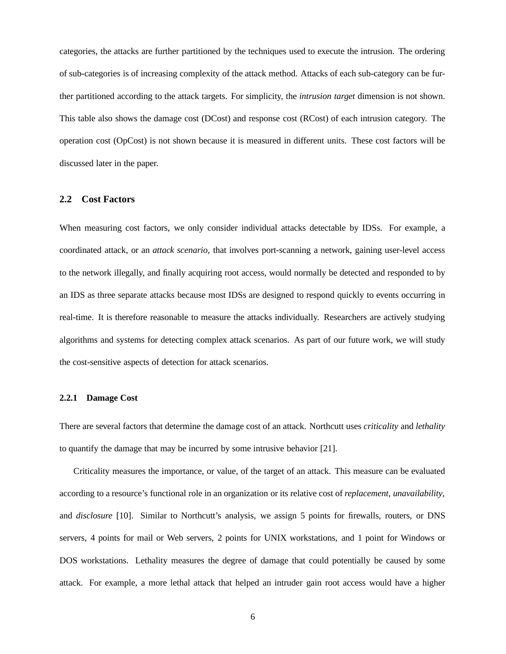categories, the attacks are further partitioned by the techniques used to execute the intrusion. The ordering of sub-categories is of increasing complexity of the attack method. Attacks of each sub-category can be further partitioned according to the attack targets. For simplicity, the *intrusion target* dimension is not shown. This table also shows the damage cost (DCost) and response cost (RCost) of each intrusion category. The operation cost (OpCost) is not shown because it is measured in different units. These cost factors will be discussed later in the paper.

#### **2.2 Cost Factors**

When measuring cost factors, we only consider individual attacks detectable by IDSs. For example, a coordinated attack, or an *attack scenario*, that involves port-scanning a network, gaining user-level access to the network illegally, and finally acquiring root access, would normally be detected and responded to by an IDS as three separate attacks because most IDSs are designed to respond quickly to events occurring in real-time. It is therefore reasonable to measure the attacks individually. Researchers are actively studying algorithms and systems for detecting complex attack scenarios. As part of our future work, we will study the cost-sensitive aspects of detection for attack scenarios.

#### **2.2.1 Damage Cost**

There are several factors that determine the damage cost of an attack. Northcutt uses *criticality* and *lethality* to quantify the damage that may be incurred by some intrusive behavior [21].

Criticality measures the importance, or value, of the target of an attack. This measure can be evaluated according to a resource's functional role in an organization or its relative cost of *replacement*, *unavailability*, and *disclosure* [10]. Similar to Northcutt's analysis, we assign 5 points for firewalls, routers, or DNS servers, 4 points for mail or Web servers, 2 points for UNIX workstations, and 1 point for Windows or DOS workstations. Lethality measures the degree of damage that could potentially be caused by some attack. For example, a more lethal attack that helped an intruder gain root access would have a higher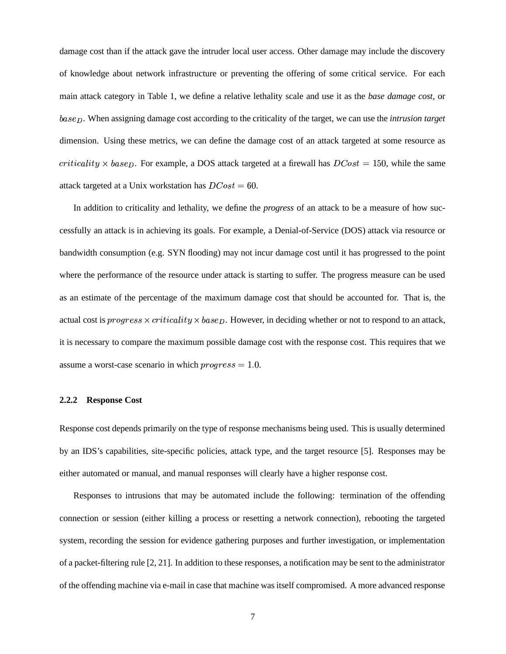damage cost than if the attack gave the intruder local user access. Other damage may include the discovery of knowledge about network infrastructure or preventing the offering of some critical service. For each main attack category in Table 1, we define a relative lethality scale and use it as the *base damage cost*, or - . When assigning damage cost according to the criticality of the target, we can use the *intrusion target* dimension. Using these metrics, we can define the damage cost of an attack targeted at some resource as criticality  $\times$  base<sub>D</sub>. For example, a DOS attack targeted at a firewall has  $DCost = 150$ , while the same attack targeted at a Unix workstation has  $DCost = 60$ .

In addition to criticality and lethality, we define the *progress* of an attack to be a measure of how successfully an attack is in achieving its goals. For example, a Denial-of-Service (DOS) attack via resource or bandwidth consumption (e.g. SYN flooding) may not incur damage cost until it has progressed to the point where the performance of the resource under attack is starting to suffer. The progress measure can be used as an estimate of the percentage of the maximum damage cost that should be accounted for. That is, the actual cost is progress  $\times$  criticality  $\times$  base<sub>D</sub>. However, in deciding whether or not to respond to an attack, it is necessary to compare the maximum possible damage cost with the response cost. This requires that we assume a worst-case scenario in which  $progress = 1.0$ .

#### **2.2.2 Response Cost**

Response cost depends primarily on the type of response mechanisms being used. This is usually determined by an IDS's capabilities, site-specific policies, attack type, and the target resource [5]. Responses may be either automated or manual, and manual responses will clearly have a higher response cost.

Responses to intrusions that may be automated include the following: termination of the offending connection or session (either killing a process or resetting a network connection), rebooting the targeted system, recording the session for evidence gathering purposes and further investigation, or implementation of a packet-filtering rule [2, 21]. In addition to these responses, a notification may be sent to the administrator of the offending machine via e-mail in case that machine was itself compromised. A more advanced response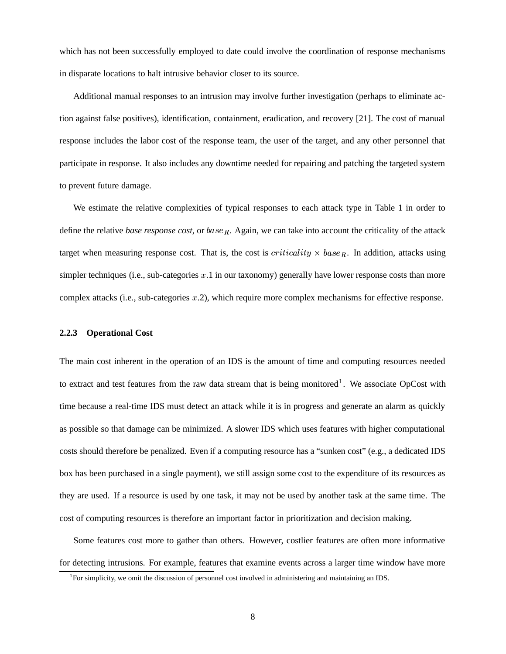which has not been successfully employed to date could involve the coordination of response mechanisms in disparate locations to halt intrusive behavior closer to its source.

Additional manual responses to an intrusion may involve further investigation (perhaps to eliminate action against false positives), identification, containment, eradication, and recovery [21]. The cost of manual response includes the labor cost of the response team, the user of the target, and any other personnel that participate in response. It also includes any downtime needed for repairing and patching the targeted system to prevent future damage.

We estimate the relative complexities of typical responses to each attack type in Table 1 in order to define the relative *base response cost*, or  $base_R$ . Again, we can take into account the criticality of the attack target when measuring response cost. That is, the cost is  $criticality \times base_R$ . In addition, attacks using simpler techniques (i.e., sub-categories  $x \cdot 1$  in our taxonomy) generally have lower response costs than more complex attacks (i.e., sub-categories  $x.2$ ), which require more complex mechanisms for effective response.

#### **2.2.3 Operational Cost**

The main cost inherent in the operation of an IDS is the amount of time and computing resources needed to extract and test features from the raw data stream that is being monitored<sup>1</sup>. We associate OpCost with time because a real-time IDS must detect an attack while it is in progress and generate an alarm as quickly as possible so that damage can be minimized. A slower IDS which uses features with higher computational costs should therefore be penalized. Even if a computing resource has a "sunken cost" (e.g., a dedicated IDS box has been purchased in a single payment), we still assign some cost to the expenditure of its resources as they are used. If a resource is used by one task, it may not be used by another task at the same time. The cost of computing resources is therefore an important factor in prioritization and decision making.

Some features cost more to gather than others. However, costlier features are often more informative for detecting intrusions. For example, features that examine events across a larger time window have more

<sup>&</sup>lt;sup>1</sup>For simplicity, we omit the discussion of personnel cost involved in administering and maintaining an IDS.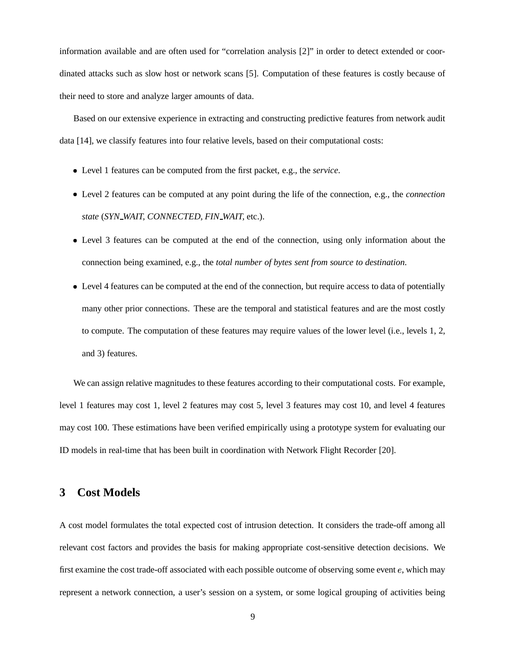information available and are often used for "correlation analysis [2]" in order to detect extended or coordinated attacks such as slow host or network scans [5]. Computation of these features is costly because of their need to store and analyze larger amounts of data.

Based on our extensive experience in extracting and constructing predictive features from network audit data [14], we classify features into four relative levels, based on their computational costs:

- Level 1 features can be computed from the first packet, e.g., the *service*.
- Level 2 features can be computed at any point during the life of the connection, e.g., the *connection state* (*SYN WAIT, CONNECTED, FIN WAIT,* etc.).
- Level 3 features can be computed at the end of the connection, using only information about the connection being examined, e.g., the *total number of bytes sent from source to destination*.
- Level 4 features can be computed at the end of the connection, but require access to data of potentially many other prior connections. These are the temporal and statistical features and are the most costly to compute. The computation of these features may require values of the lower level (i.e., levels 1, 2, and 3) features.

We can assign relative magnitudes to these features according to their computational costs. For example, level 1 features may cost 1, level 2 features may cost 5, level 3 features may cost 10, and level 4 features may cost 100. These estimations have been verified empirically using a prototype system for evaluating our ID models in real-time that has been built in coordination with Network Flight Recorder [20].

## **3 Cost Models**

A cost model formulates the total expected cost of intrusion detection. It considers the trade-off among all relevant cost factors and provides the basis for making appropriate cost-sensitive detection decisions. We first examine the cost trade-off associated with each possible outcome of observing some event e, which may represent a network connection, a user's session on a system, or some logical grouping of activities being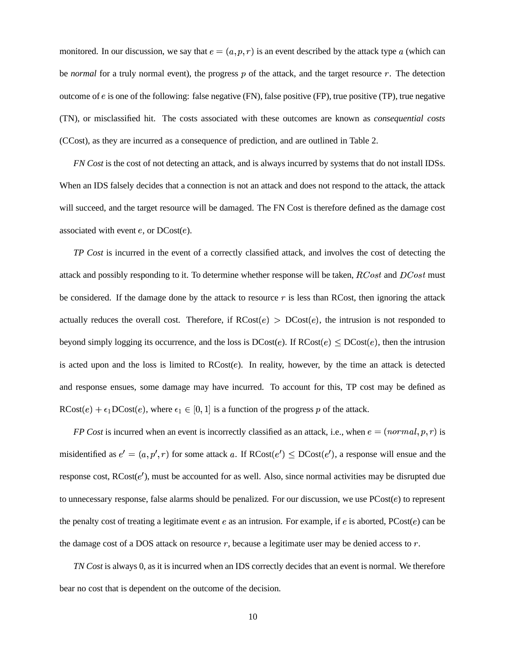monitored. In our discussion, we say that  $e = (a, p, r)$  is an event described by the attack type a (which can be *normal* for a truly normal event), the progress  $p$  of the attack, and the target resource  $r$ . The detection outcome of  $e$  is one of the following: false negative (FN), false positive (FP), true positive (TP), true negative (TN), or misclassified hit. The costs associated with these outcomes are known as *consequential costs* (CCost), as they are incurred as a consequence of prediction, and are outlined in Table 2.

*FN Cost* is the cost of not detecting an attack, and is always incurred by systems that do not install IDSs. When an IDS falsely decides that a connection is not an attack and does not respond to the attack, the attack will succeed, and the target resource will be damaged. The FN Cost is therefore defined as the damage cost associated with event  $e$ , or  $DCost(e)$ .

*TP Cost* is incurred in the event of a correctly classified attack, and involves the cost of detecting the attack and possibly responding to it. To determine whether response will be taken,  $RCost$  and  $DCost$  must be considered. If the damage done by the attack to resource  $r$  is less than RCost, then ignoring the attack actually reduces the overall cost. Therefore, if  $RCost(e) > DCost(e)$ , the intrusion is not responded to beyond simply logging its occurrence, and the loss is  $DCost(e)$ . If  $RCost(e) \leq DCost(e)$ , then the intrusion is acted upon and the loss is limited to  $RCost(e)$ . In reality, however, by the time an attack is detected and response ensues, some damage may have incurred. To account for this, TP cost may be defined as  $\text{RCost}(e) + \epsilon_1 \text{DCost}(e)$ , where  $\epsilon_1 \in [0, 1]$  is a function of the progress p of the attack.

*FP Cost* is incurred when an event is incorrectly classified as an attack, i.e., when  $e = (normal, p, r)$  is misidentified as  $e' = (a, p', r)$  for some attack a. If  $RCost(e') \leq DCost(e')$ , a response will ensue and the response cost,  $RCost(e')$ , must be accounted for as well. Also, since normal activities may be disrupted due to unnecessary response, false alarms should be penalized. For our discussion, we use  $PCost(e)$  to represent the penalty cost of treating a legitimate event  $e$  as an intrusion. For example, if  $e$  is aborted,  $PCost(e)$  can be the damage cost of a DOS attack on resource  $r$ , because a legitimate user may be denied access to  $r$ .

*TN Cost* is always 0, as it is incurred when an IDS correctly decides that an event is normal. We therefore bear no cost that is dependent on the outcome of the decision.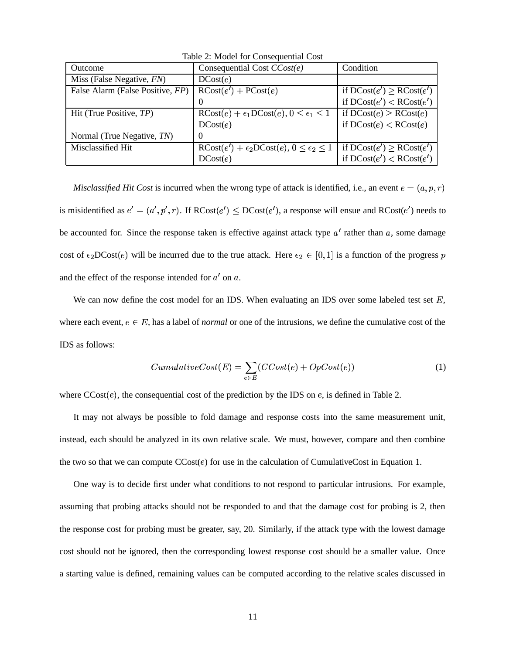| Outcome                          | Consequential Cost CCost(e)                                               | Condition                                |
|----------------------------------|---------------------------------------------------------------------------|------------------------------------------|
| Miss (False Negative, FN)        | DCost(e)                                                                  |                                          |
| False Alarm (False Positive, FP) | $RCost(e') + PCost(e)$                                                    | if $\overline{DCost}(e') \geq RCost(e')$ |
|                                  |                                                                           | if $DCost(e') < RCost(e')$               |
| Hit (True Positive, TP)          | $\text{RCost}(e) + \epsilon_1 \text{DCost}(e), 0 \leq \epsilon_1 \leq 1$  | if $DCost(e) \geq RCost(e)$              |
|                                  | DCost(e)                                                                  | if $DCost(e) < RCost(e)$                 |
| Normal (True Negative, TN)       | 0                                                                         |                                          |
| Misclassified Hit                | $\text{RCost}(e') + \epsilon_2 \text{DCost}(e), 0 \leq \epsilon_2 \leq 1$ | if $DCost(e') \geq RCost(e')$            |
|                                  | DCost(e)                                                                  | if $DCost(e') < RCost(e')$               |

Table 2: Model for Consequential Cost

*Misclassified Hit Cost* is incurred when the wrong type of attack is identified, i.e., an event  $e = (a, p, r)$ is misidentified as  $e' = (a', p', r)$ . If  $RCost(e') \leq DCost(e')$ , a response will ensue and  $RCost(e')$  needs to be accounted for. Since the response taken is effective against attack type  $a'$  rather than  $a$ , some damage cost of  $\epsilon_2 D\text{Cost}(e)$  will be incurred due to the true attack. Here  $\epsilon_2 \in [0,1]$  is a function of the progress p and the effect of the response intended for  $a'$  on  $a$ .

We can now define the cost model for an IDS. When evaluating an IDS over some labeled test set  $E$ , where each event,  $e \in E$ , has a label of *normal* or one of the intrusions, we define the cumulative cost of the IDS as follows:

$$
CumulativeCost(E) = \sum_{e \in E} (CCost(e) + OpCost(e))
$$
\n(1)

where  $CCost(e)$ , the consequential cost of the prediction by the IDS on e, is defined in Table 2.

It may not always be possible to fold damage and response costs into the same measurement unit, instead, each should be analyzed in its own relative scale. We must, however, compare and then combine the two so that we can compute  $CCost(e)$  for use in the calculation of CumulativeCost in Equation 1.

One way is to decide first under what conditions to not respond to particular intrusions. For example, assuming that probing attacks should not be responded to and that the damage cost for probing is 2, then the response cost for probing must be greater, say, 20. Similarly, if the attack type with the lowest damage cost should not be ignored, then the corresponding lowest response cost should be a smaller value. Once a starting value is defined, remaining values can be computed according to the relative scales discussed in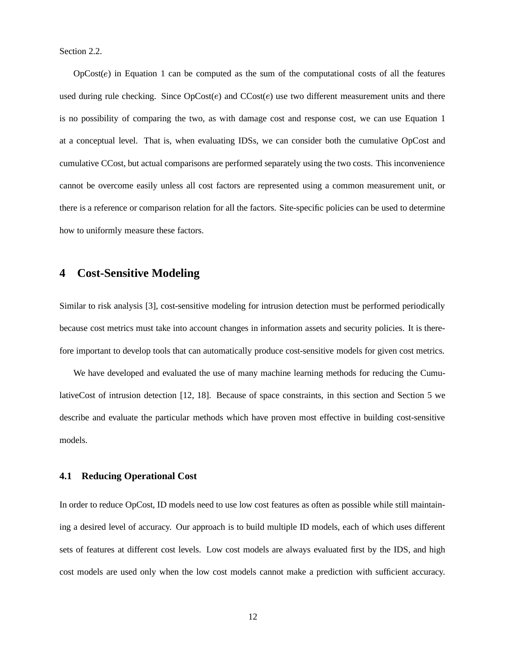Section 2.2.

 $OpCost(e)$  in Equation 1 can be computed as the sum of the computational costs of all the features used during rule checking. Since  $OpCost(e)$  and  $CCost(e)$  use two different measurement units and there is no possibility of comparing the two, as with damage cost and response cost, we can use Equation 1 at a conceptual level. That is, when evaluating IDSs, we can consider both the cumulative OpCost and cumulative CCost, but actual comparisons are performed separately using the two costs. This inconvenience cannot be overcome easily unless all cost factors are represented using a common measurement unit, or there is a reference or comparison relation for all the factors. Site-specific policies can be used to determine how to uniformly measure these factors.

# **4 Cost-Sensitive Modeling**

Similar to risk analysis [3], cost-sensitive modeling for intrusion detection must be performed periodically because cost metrics must take into account changes in information assets and security policies. It is therefore important to develop tools that can automatically produce cost-sensitive models for given cost metrics.

We have developed and evaluated the use of many machine learning methods for reducing the CumulativeCost of intrusion detection [12, 18]. Because of space constraints, in this section and Section 5 we describe and evaluate the particular methods which have proven most effective in building cost-sensitive models.

#### **4.1 Reducing Operational Cost**

In order to reduce OpCost, ID models need to use low cost features as often as possible while still maintaining a desired level of accuracy. Our approach is to build multiple ID models, each of which uses different sets of features at different cost levels. Low cost models are always evaluated first by the IDS, and high cost models are used only when the low cost models cannot make a prediction with sufficient accuracy.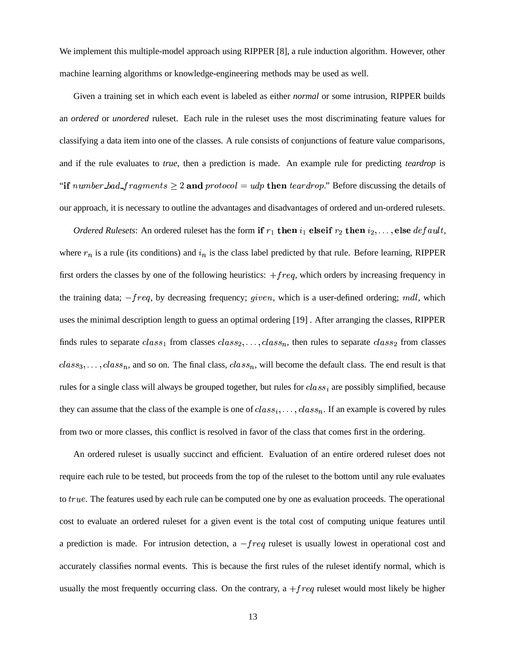We implement this multiple-model approach using RIPPER [8], a rule induction algorithm. However, other machine learning algorithms or knowledge-engineering methods may be used as well.

Given a training set in which each event is labeled as either *normal* or some intrusion, RIPPER builds an *ordered* or *unordered* ruleset. Each rule in the ruleset uses the most discriminating feature values for classifying a data item into one of the classes. A rule consists of conjunctions of feature value comparisons, and if the rule evaluates to *true*, then a prediction is made. An example rule for predicting *teardrop* is "if number bad fragments  $\geq 2$  and protocol = udp then teardrop." Before discussing the details of our approach, it is necessary to outline the advantages and disadvantages of ordered and un-ordered rulesets.

*Ordered Rulesets*: An ordered ruleset has the form if  $r_1$  then  $i_1$  elseif  $r_2$  then  $i_2, \ldots$ , else  $default$ , where  $r_n$  is a rule (its conditions) and  $i_n$  is the class label predicted by that rule. Before learning, RIPPER first orders the classes by one of the following heuristics:  $+freq$ , which orders by increasing frequency in the training data;  $-freq$ , by decreasing frequency; *given*, which is a user-defined ordering; mdl, which uses the minimal description length to guess an optimal ordering [19] . After arranging the classes, RIPPER finds rules to separate  $class_1$  from classes  $class_2, \ldots, class_n$ , then rules to separate  $class_2$  from classes  $class_3, \ldots, class_n$ , and so on. The final class,  $class_n$ , will become the default class. The end result is that rules for a single class will always be grouped together, but rules for  $class_i$  are possibly simplified, because they can assume that the class of the example is one of  $class_i, \ldots, class_n$ . If an example is covered by rules from two or more classes, this conflict is resolved in favor of the class that comes first in the ordering.

An ordered ruleset is usually succinct and efficient. Evaluation of an entire ordered ruleset does not require each rule to be tested, but proceeds from the top of the ruleset to the bottom until any rule evaluates to true. The features used by each rule can be computed one by one as evaluation proceeds. The operational cost to evaluate an ordered ruleset for a given event is the total cost of computing unique features until a prediction is made. For intrusion detection,  $a - freq$  ruleset is usually lowest in operational cost and accurately classifies normal events. This is because the first rules of the ruleset identify normal, which is usually the most frequently occurring class. On the contrary,  $a + freq$  ruleset would most likely be higher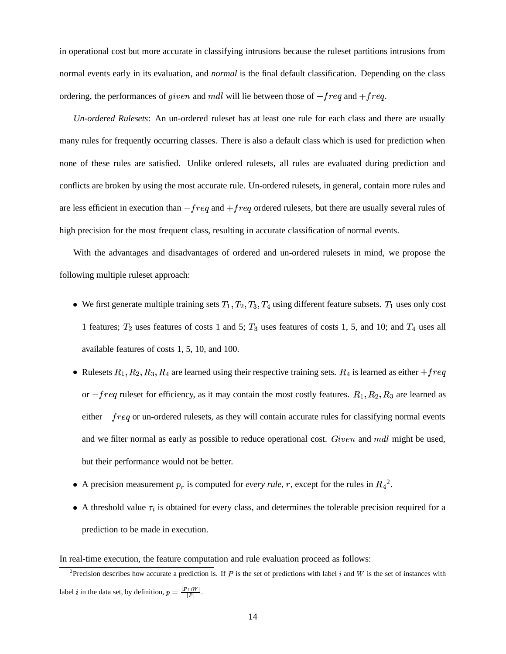in operational cost but more accurate in classifying intrusions because the ruleset partitions intrusions from normal events early in its evaluation, and *normal* is the final default classification. Depending on the class ordering, the performances of *given* and mdl will lie between those of  $-$ *freq* and  $+$ *freq*.

*Un-ordered Rulesets*: An un-ordered ruleset has at least one rule for each class and there are usually many rules for frequently occurring classes. There is also a default class which is used for prediction when none of these rules are satisfied. Unlike ordered rulesets, all rules are evaluated during prediction and conflicts are broken by using the most accurate rule. Un-ordered rulesets, in general, contain more rules and are less efficient in execution than  $-freq$  and  $+freq$  ordered rulesets, but there are usually several rules of high precision for the most frequent class, resulting in accurate classification of normal events.

With the advantages and disadvantages of ordered and un-ordered rulesets in mind, we propose the following multiple ruleset approach:

- We first generate multiple training sets  $T_1, T_2, T_3, T_4$  using different feature subsets.  $T_1$  uses only cost 1 features;  $T_2$  uses features of costs 1 and 5;  $T_3$  uses features of costs 1, 5, and 10; and  $T_4$  uses all available features of costs 1, 5, 10, and 100.
- Rulesets  $R_1, R_2, R_3, R_4$  are learned using their respective training sets.  $R_4$  is learned as either  $+freq$ or  $-freq$  ruleset for efficiency, as it may contain the most costly features.  $R_1, R_2, R_3$  are learned as either  $-freq$  or un-ordered rulesets, as they will contain accurate rules for classifying normal events and we filter normal as early as possible to reduce operational cost.  $Given$  and  $mdl$  might be used, but their performance would not be better.
- A precision measurement  $p_r$  is computed for *every rule*, r, except for the rules in  $R_4^2$ .
- A threshold value  $\tau_i$  is obtained for every class, and determines the tolerable precision required for a prediction to be made in execution.

In real-time execution, the feature computation and rule evaluation proceed as follows:

<sup>2</sup>Precision describes how accurate a prediction is. If P is the set of predictions with label i and W is the set of instances with label *i* in the data set, by definition,  $p = \frac{|P||W|}{|P|}$ .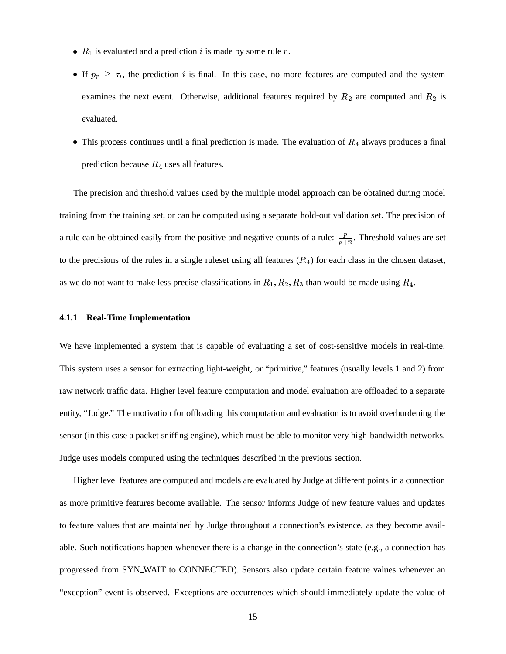- $R_1$  is evaluated and a prediction i is made by some rule r.
- If  $p_r \geq \tau_i$ , the prediction i is final. In this case, no more features are computed and the system examines the next event. Otherwise, additional features required by  $R_2$  are computed and  $R_2$  is evaluated.
- This process continues until a final prediction is made. The evaluation of  $R_4$  always produces a final prediction because  $R_4$  uses all features.

The precision and threshold values used by the multiple model approach can be obtained during model training from the training set, or can be computed using a separate hold-out validation set. The precision of a rule can be obtained easily from the positive and negative counts of a rule:  $\frac{p}{n+r}$ . Threshold values are set to the precisions of the rules in a single ruleset using all features  $(R_4)$  for each class in the chosen dataset, as we do not want to make less precise classifications in  $R_1, R_2, R_3$  than would be made using  $R_4$ .

#### **4.1.1 Real-Time Implementation**

We have implemented a system that is capable of evaluating a set of cost-sensitive models in real-time. This system uses a sensor for extracting light-weight, or "primitive," features (usually levels 1 and 2) from raw network traffic data. Higher level feature computation and model evaluation are offloaded to a separate entity, "Judge." The motivation for offloading this computation and evaluation is to avoid overburdening the sensor (in this case a packet sniffing engine), which must be able to monitor very high-bandwidth networks. Judge uses models computed using the techniques described in the previous section.

Higher level features are computed and models are evaluated by Judge at different points in a connection as more primitive features become available. The sensor informs Judge of new feature values and updates to feature values that are maintained by Judge throughout a connection's existence, as they become available. Such notifications happen whenever there is a change in the connection's state (e.g., a connection has progressed from SYN WAIT to CONNECTED). Sensors also update certain feature values whenever an "exception" event is observed. Exceptions are occurrences which should immediately update the value of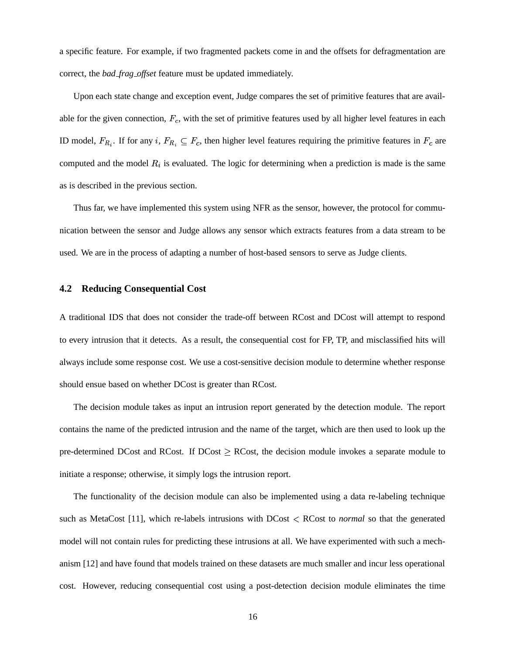a specific feature. For example, if two fragmented packets come in and the offsets for defragmentation are correct, the *bad frag offset* feature must be updated immediately.

Upon each state change and exception event, Judge compares the set of primitive features that are available for the given connection,  $F_c$ , with the set of primitive features used by all higher level features in each ID model,  $F_{R_i}$ . If for any i,  $F_{R_i} \subseteq F_c$ , then higher level features requiring the primitive features in  $F_c$  are computed and the model  $R_i$  is evaluated. The logic for determining when a prediction is made is the same as is described in the previous section.

Thus far, we have implemented this system using NFR as the sensor, however, the protocol for communication between the sensor and Judge allows any sensor which extracts features from a data stream to be used. We are in the process of adapting a number of host-based sensors to serve as Judge clients.

#### **4.2 Reducing Consequential Cost**

A traditional IDS that does not consider the trade-off between RCost and DCost will attempt to respond to every intrusion that it detects. As a result, the consequential cost for FP, TP, and misclassified hits will always include some response cost. We use a cost-sensitive decision module to determine whether response should ensue based on whether DCost is greater than RCost.

The decision module takes as input an intrusion report generated by the detection module. The report contains the name of the predicted intrusion and the name of the target, which are then used to look up the pre-determined DCost and RCost. If  $DCost \geq RCost$ , the decision module invokes a separate module to initiate a response; otherwise, it simply logs the intrusion report.

The functionality of the decision module can also be implemented using a data re-labeling technique such as MetaCost [11], which re-labels intrusions with DCost < RCost to *normal* so that the generated model will not contain rules for predicting these intrusions at all. We have experimented with such a mechanism [12] and have found that models trained on these datasets are much smaller and incur less operational cost. However, reducing consequential cost using a post-detection decision module eliminates the time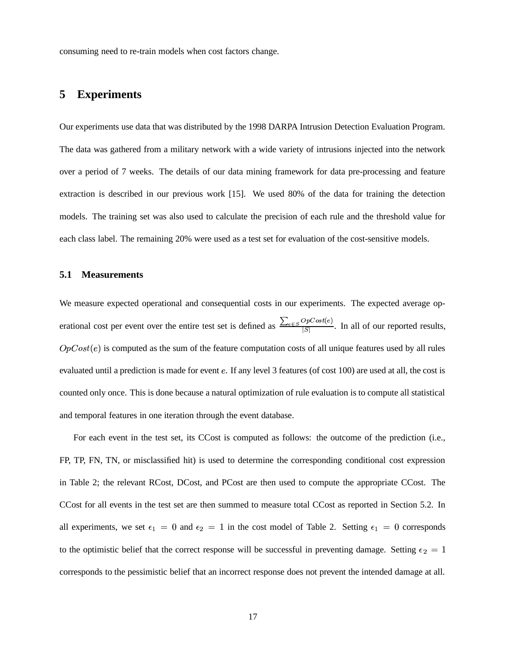consuming need to re-train models when cost factors change.

# **5 Experiments**

Our experiments use data that was distributed by the 1998 DARPA Intrusion Detection Evaluation Program. The data was gathered from a military network with a wide variety of intrusions injected into the network over a period of 7 weeks. The details of our data mining framework for data pre-processing and feature extraction is described in our previous work [15]. We used 80% of the data for training the detection models. The training set was also used to calculate the precision of each rule and the threshold value for each class label. The remaining 20% were used as a test set for evaluation of the cost-sensitive models.

#### **5.1 Measurements**

We measure expected operational and consequential costs in our experiments. The expected average operational cost per event over the entire test set is defined as  $\frac{\sum_{e \in S}OpCost(e)}{|S|}$ . In all of our reported results,  $OpCost(e)$  is computed as the sum of the feature computation costs of all unique features used by all rules evaluated until a prediction is made for event e. If any level 3 features (of cost 100) are used at all, the cost is counted only once. This is done because a natural optimization of rule evaluation is to compute all statistical and temporal features in one iteration through the event database.

For each event in the test set, its CCost is computed as follows: the outcome of the prediction (i.e., FP, TP, FN, TN, or misclassified hit) is used to determine the corresponding conditional cost expression in Table 2; the relevant RCost, DCost, and PCost are then used to compute the appropriate CCost. The CCost for all events in the test set are then summed to measure total CCost as reported in Section 5.2. In all experiments, we set  $\epsilon_1 = 0$  and  $\epsilon_2 = 1$  in the cost model of Table 2. Setting  $\epsilon_1 = 0$  corresponds to the optimistic belief that the correct response will be successful in preventing damage. Setting  $\epsilon_2 = 1$ corresponds to the pessimistic belief that an incorrect response does not prevent the intended damage at all.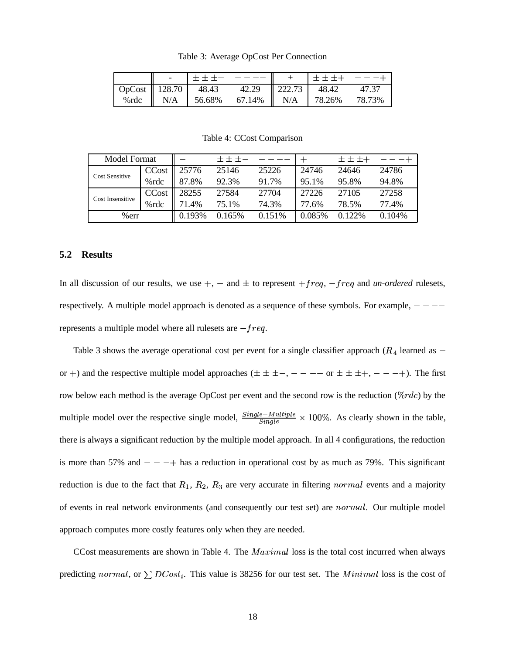|                          | $\overline{\phantom{a}}$ |                                             |       |        |
|--------------------------|--------------------------|---------------------------------------------|-------|--------|
| OpCost    128.70   48.43 |                          | 42.29 222.73                                | 48.42 |        |
|                          |                          | %rdc    N/A   56.68% 67.14%    N/A   78.26% |       | 78.73% |

Table 3: Average OpCost Per Connection

Table 4: CCost Comparison

| Model Format          |         |         |        |        |        | 土土土土    |        |
|-----------------------|---------|---------|--------|--------|--------|---------|--------|
| <b>Cost Sensitive</b> | CCost   | 25776   | 25146  | 25226  | 24746  | 24646   | 24786  |
|                       | %rdc    | 87.8%   | 92.3%  | 91.7%  | 95.1%  | 95.8%   | 94.8%  |
| Cost Insensitive      | CCost   | 28255   | 27584  | 27704  | 27226  | 27105   | 27258  |
|                       | $%$ rdc | $1.4\%$ | 75.1%  | 74.3%  | 77.6%  | 78.5%   | 77.4%  |
| %err                  |         | 0.193%  | 0.165% | 0.151% | 0.085% | 0.122\% | 0.104% |

#### **5.2 Results**

In all discussion of our results, we use  $+$ ,  $-$  and  $\pm$  to represent  $+freq$ ,  $-freq$  and *un-ordered* rulesets, respectively. A multiple model approach is denoted as a sequence of these symbols. For example,  $$ represents a multiple model where all rulesets are  $-freeq$ .

Table 3 shows the average operational cost per event for a single classifier approach ( $R_4$  learned as  $$ or +) and the respective multiple model approaches  $(\pm \pm \pm -, - - - -$  or  $\pm \pm \pm+, - - - +)$ . The first row below each method is the average OpCost per event and the second row is the reduction ( $\%$ rdc) by the multiple model over the respective single model,  $\frac{Single-Multiply}{Single} \times 100\%$ . As clearly shown in the table, there is always a significant reduction by the multiple model approach. In all 4 configurations, the reduction is more than 57% and  $- - +$  has a reduction in operational cost by as much as 79%. This significant reduction is due to the fact that  $R_1, R_2, R_3$  are very accurate in filtering normal events and a majority of events in real network environments (and consequently our test set) are normal. Our multiple model approach computes more costly features only when they are needed.

CCost measurements are shown in Table 4. The  $Maximal$  loss is the total cost incurred when always predicting normal, or  $\sum DCost_i$ . This value is 38256 for our test set. The *Minimal* loss is the cost of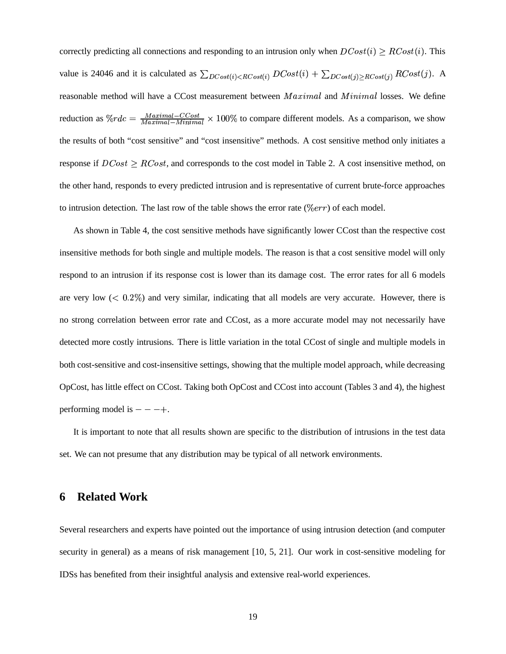correctly predicting all connections and responding to an intrusion only when  $DCost(i) \geq RCost(i)$ . This value is 24046 and it is calculated as  $\sum_{DCost(i) \le RCost(i)} DCost(i) + \sum_{DCost(i) \ge RCost(i)} RCost(j)$ . A reasonable method will have a CCost measurement between  $Maximal$  and  $Minimal$  losses. We define reduction as  $\%$   $rdc = \frac{Maximal - CCost}{Maximal - Minimal} \times 100\%$  to compare different models. As a comparison, we show the results of both "cost sensitive" and "cost insensitive" methods. A cost sensitive method only initiates a response if  $DCost \ge RCost$ , and corresponds to the cost model in Table 2. A cost insensitive method, on the other hand, responds to every predicted intrusion and is representative of current brute-force approaches to intrusion detection. The last row of the table shows the error rate  $(\%err)$  of each model.

As shown in Table 4, the cost sensitive methods have significantly lower CCost than the respective cost insensitive methods for both single and multiple models. The reason is that a cost sensitive model will only respond to an intrusion if its response cost is lower than its damage cost. The error rates for all 6 models are very low  $( $0.2\%$ ) and very similar, indicating that all models are very accurate. However, there is$ no strong correlation between error rate and CCost, as a more accurate model may not necessarily have detected more costly intrusions. There is little variation in the total CCost of single and multiple models in both cost-sensitive and cost-insensitive settings, showing that the multiple model approach, while decreasing OpCost, has little effect on CCost. Taking both OpCost and CCost into account (Tables 3 and 4), the highest performing model is  $---+$ .

It is important to note that all results shown are specific to the distribution of intrusions in the test data set. We can not presume that any distribution may be typical of all network environments.

# **6 Related Work**

Several researchers and experts have pointed out the importance of using intrusion detection (and computer security in general) as a means of risk management [10, 5, 21]. Our work in cost-sensitive modeling for IDSs has benefited from their insightful analysis and extensive real-world experiences.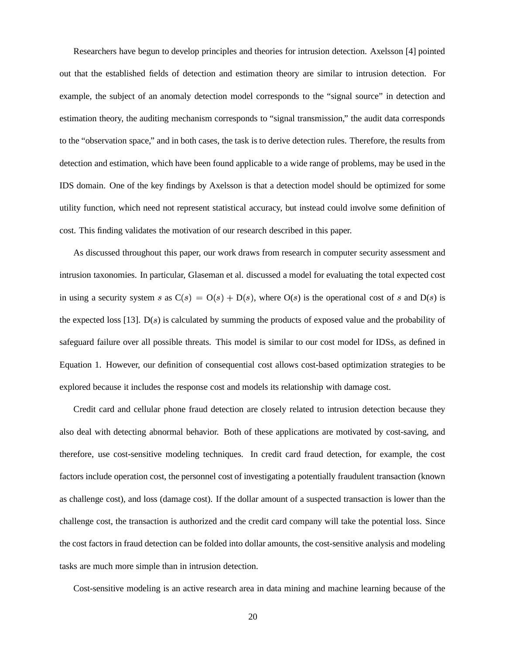Researchers have begun to develop principles and theories for intrusion detection. Axelsson [4] pointed out that the established fields of detection and estimation theory are similar to intrusion detection. For example, the subject of an anomaly detection model corresponds to the "signal source" in detection and estimation theory, the auditing mechanism corresponds to "signal transmission," the audit data corresponds to the "observation space," and in both cases, the task is to derive detection rules. Therefore, the results from detection and estimation, which have been found applicable to a wide range of problems, may be used in the IDS domain. One of the key findings by Axelsson is that a detection model should be optimized for some utility function, which need not represent statistical accuracy, but instead could involve some definition of cost. This finding validates the motivation of our research described in this paper.

As discussed throughout this paper, our work draws from research in computer security assessment and intrusion taxonomies. In particular, Glaseman et al. discussed a model for evaluating the total expected cost in using a security system s as  $C(s) = O(s) + D(s)$ , where  $O(s)$  is the operational cost of s and  $D(s)$  is the expected loss  $[13]$ .  $D(s)$  is calculated by summing the products of exposed value and the probability of safeguard failure over all possible threats. This model is similar to our cost model for IDSs, as defined in Equation 1. However, our definition of consequential cost allows cost-based optimization strategies to be explored because it includes the response cost and models its relationship with damage cost.

Credit card and cellular phone fraud detection are closely related to intrusion detection because they also deal with detecting abnormal behavior. Both of these applications are motivated by cost-saving, and therefore, use cost-sensitive modeling techniques. In credit card fraud detection, for example, the cost factors include operation cost, the personnel cost of investigating a potentially fraudulent transaction (known as challenge cost), and loss (damage cost). If the dollar amount of a suspected transaction is lower than the challenge cost, the transaction is authorized and the credit card company will take the potential loss. Since the cost factors in fraud detection can be folded into dollar amounts, the cost-sensitive analysis and modeling tasks are much more simple than in intrusion detection.

Cost-sensitive modeling is an active research area in data mining and machine learning because of the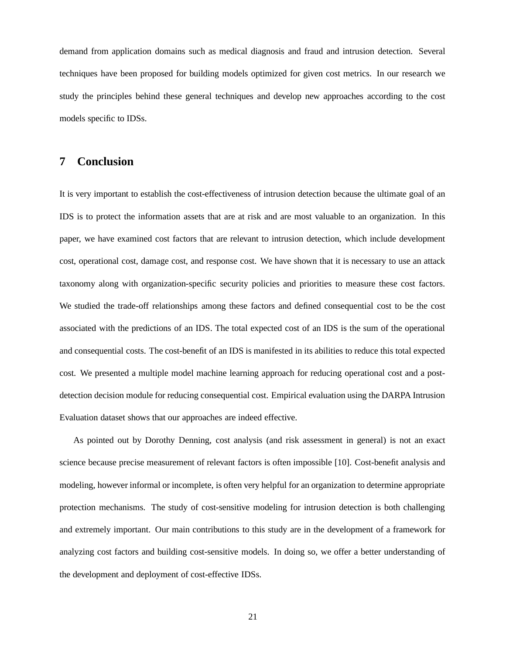demand from application domains such as medical diagnosis and fraud and intrusion detection. Several techniques have been proposed for building models optimized for given cost metrics. In our research we study the principles behind these general techniques and develop new approaches according to the cost models specific to IDSs.

# **7 Conclusion**

It is very important to establish the cost-effectiveness of intrusion detection because the ultimate goal of an IDS is to protect the information assets that are at risk and are most valuable to an organization. In this paper, we have examined cost factors that are relevant to intrusion detection, which include development cost, operational cost, damage cost, and response cost. We have shown that it is necessary to use an attack taxonomy along with organization-specific security policies and priorities to measure these cost factors. We studied the trade-off relationships among these factors and defined consequential cost to be the cost associated with the predictions of an IDS. The total expected cost of an IDS is the sum of the operational and consequential costs. The cost-benefit of an IDS is manifested in its abilities to reduce this total expected cost. We presented a multiple model machine learning approach for reducing operational cost and a postdetection decision module for reducing consequential cost. Empirical evaluation using the DARPA Intrusion Evaluation dataset shows that our approaches are indeed effective.

As pointed out by Dorothy Denning, cost analysis (and risk assessment in general) is not an exact science because precise measurement of relevant factors is often impossible [10]. Cost-benefit analysis and modeling, however informal or incomplete, is often very helpful for an organization to determine appropriate protection mechanisms. The study of cost-sensitive modeling for intrusion detection is both challenging and extremely important. Our main contributions to this study are in the development of a framework for analyzing cost factors and building cost-sensitive models. In doing so, we offer a better understanding of the development and deployment of cost-effective IDSs.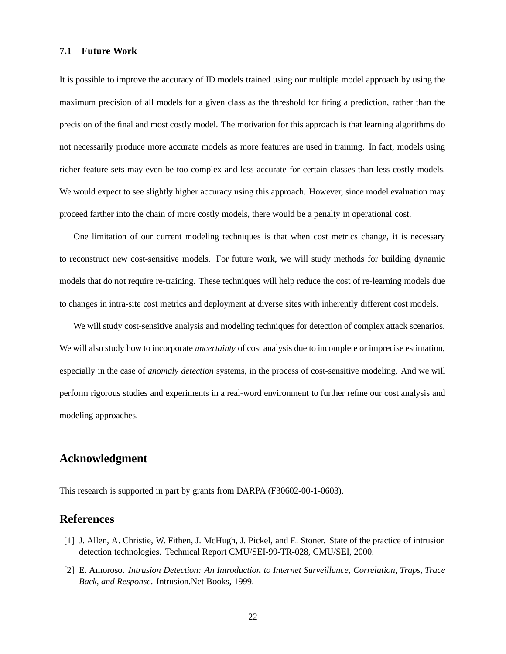#### **7.1 Future Work**

It is possible to improve the accuracy of ID models trained using our multiple model approach by using the maximum precision of all models for a given class as the threshold for firing a prediction, rather than the precision of the final and most costly model. The motivation for this approach is that learning algorithms do not necessarily produce more accurate models as more features are used in training. In fact, models using richer feature sets may even be too complex and less accurate for certain classes than less costly models. We would expect to see slightly higher accuracy using this approach. However, since model evaluation may proceed farther into the chain of more costly models, there would be a penalty in operational cost.

One limitation of our current modeling techniques is that when cost metrics change, it is necessary to reconstruct new cost-sensitive models. For future work, we will study methods for building dynamic models that do not require re-training. These techniques will help reduce the cost of re-learning models due to changes in intra-site cost metrics and deployment at diverse sites with inherently different cost models.

We will study cost-sensitive analysis and modeling techniques for detection of complex attack scenarios. We will also study how to incorporate *uncertainty* of cost analysis due to incomplete or imprecise estimation, especially in the case of *anomaly detection* systems, in the process of cost-sensitive modeling. And we will perform rigorous studies and experiments in a real-word environment to further refine our cost analysis and modeling approaches.

## **Acknowledgment**

This research is supported in part by grants from DARPA (F30602-00-1-0603).

# **References**

- [1] J. Allen, A. Christie, W. Fithen, J. McHugh, J. Pickel, and E. Stoner. State of the practice of intrusion detection technologies. Technical Report CMU/SEI-99-TR-028, CMU/SEI, 2000.
- [2] E. Amoroso. *Intrusion Detection: An Introduction to Internet Surveillance, Correlation, Traps, Trace Back, and Response*. Intrusion.Net Books, 1999.